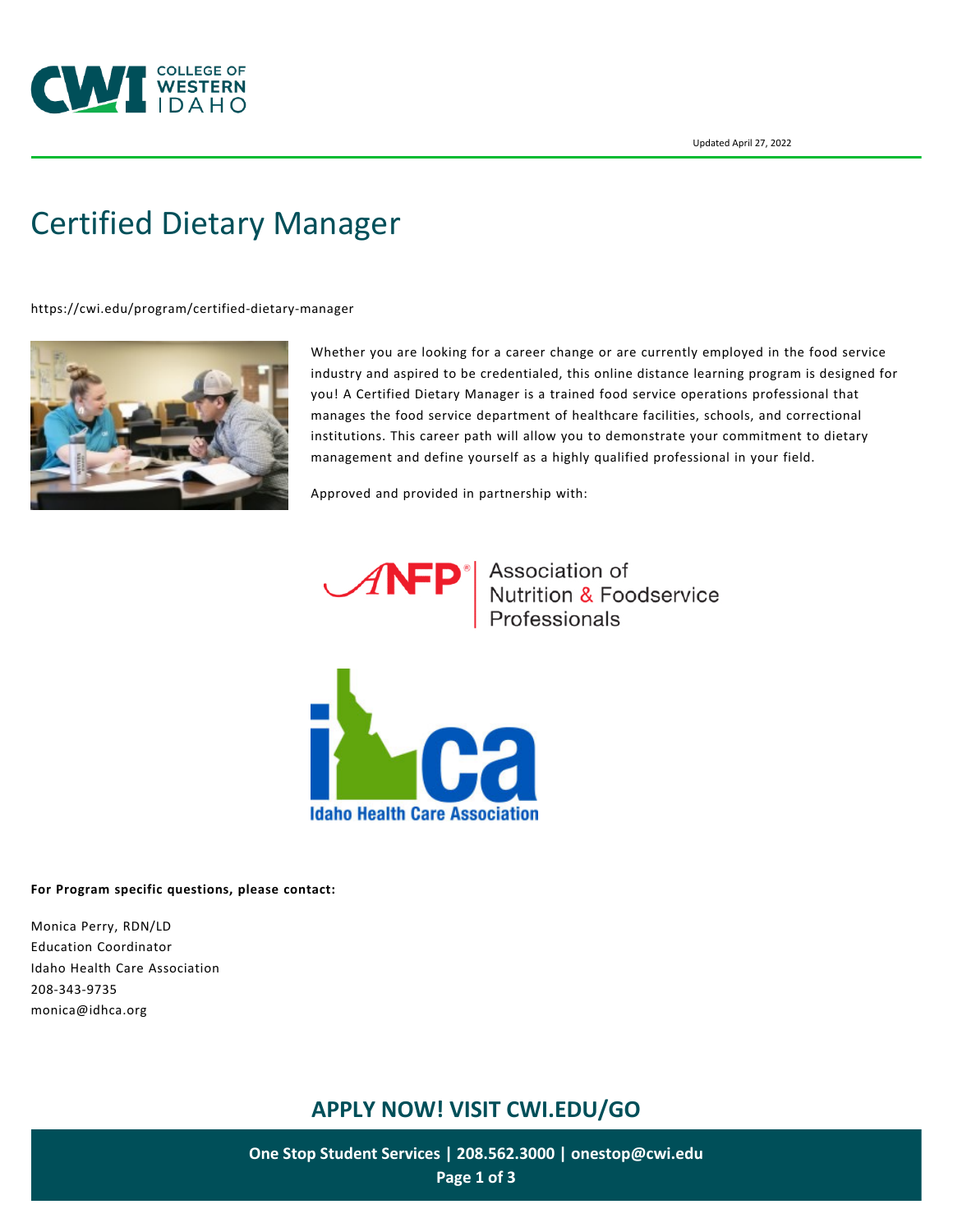

# [Certified Dietary Manager](https://cwi.edu/program/certified-dietary-manager)

<https://cwi.edu/program/certified-dietary-manager>



Whether you are looking for a career change or are currently employed in the food service industry and aspired to be credentialed, this online distance learning program is designed for you! A Certified Dietary Manager is a trained food service operations professional that manages the food service department of healthcare facilities, schools, and correctional institutions. This career path will allow you to demonstrate your commitment to dietary management and define yourself as a highly qualified professional in your field.

Approved and provided in partnership with:



**ANFP** Association of<br>
Nutrition & Foodservice<br>
Professionals



**For Program specific questions, please contact:**

Monica Perry, RDN/LD Education Coordinator Idaho Health Care Association 208-343-9735 monica@idhca.org

# **APPLY NOW! VISIT [CWI.EDU/GO](http://cwi.edu/go)**

**One Stop Student Services | 208.562.3000 | [onestop@cwi.edu](mailto:onestop@cwi.edu) Page 1 of 3**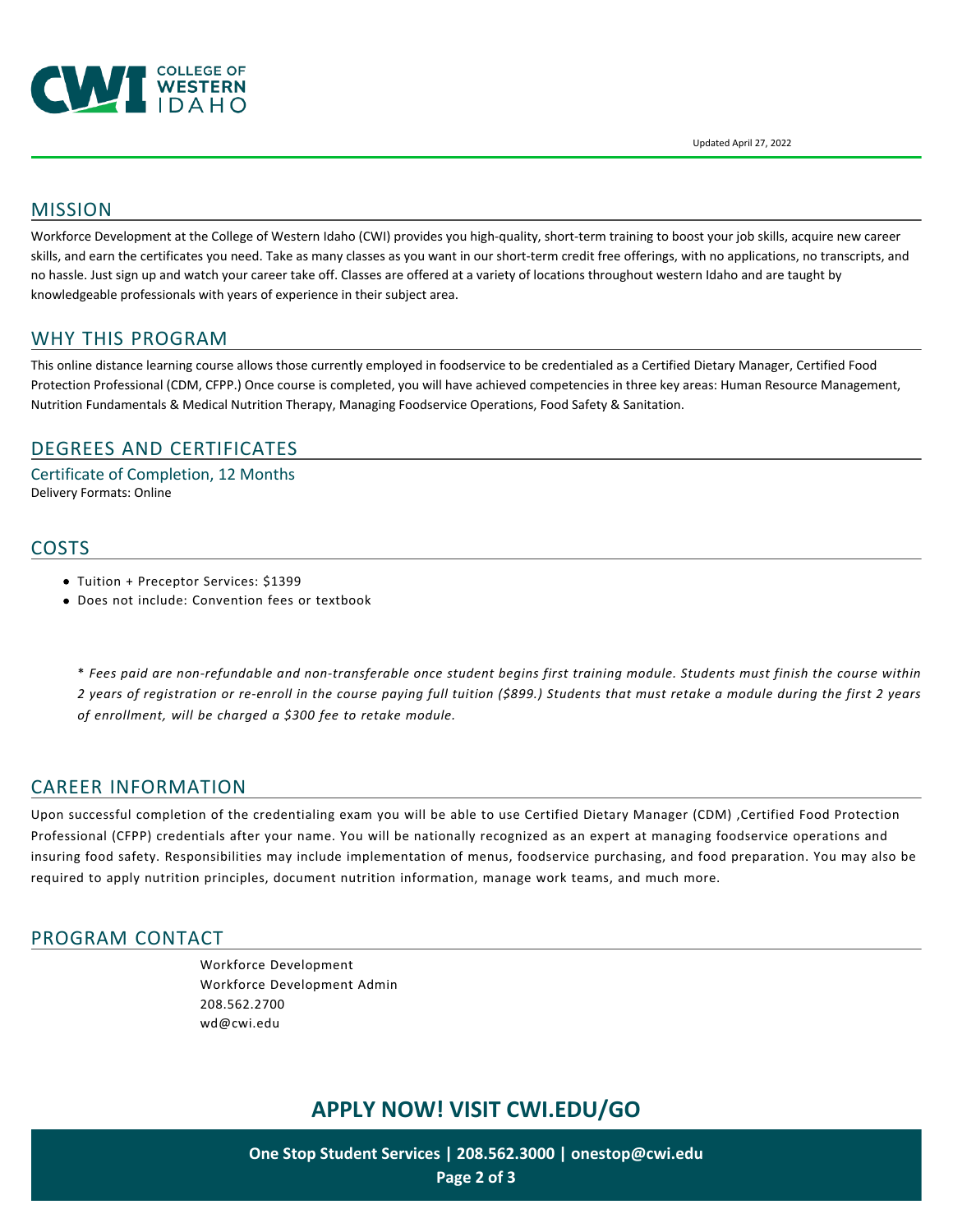

Updated April 27, 2022

## MISSION

Workforce Development at the College of Western Idaho (CWI) provides you high-quality, short-term training to boost your job skills, acquire new career skills, and earn the certificates you need. Take as many classes as you want in our short-term credit free offerings, with no applications, no transcripts, and no hassle. Just sign up and watch your career take off. Classes are offered at a variety of locations throughout western Idaho and are taught by knowledgeable professionals with years of experience in their subject area.

## WHY THIS PROGRAM

This online distance learning course allows those currently employed in foodservice to be credentialed as a Certified Dietary Manager, Certified Food Protection Professional (CDM, CFPP.) Once course is completed, you will have achieved competencies in three key areas: Human Resource Management, Nutrition Fundamentals & Medical Nutrition Therapy, Managing Foodservice Operations, Food Safety & Sanitation.

## DEGREES AND CERTIFICATES

Certificate of Completion, 12 Months Delivery Formats: Online

#### **COSTS**

- Tuition + Preceptor Services: \$1399
- Does not include: Convention fees or textbook

\* *Fees paid are non-refundable and non-transferable once student begins first training module. Students must finish the course within 2 years of registration or re-enroll in the course paying full tuition (\$899.) Students that must retake a module during the first 2 years of enrollment, will be charged a \$300 fee to retake module.* 

#### CAREER INFORMATION

Upon successful completion of the credentialing exam you will be able to use Certified Dietary Manager (CDM) ,Certified Food Protection Professional (CFPP) credentials after your name. You will be nationally recognized as an expert at managing foodservice operations and insuring food safety. Responsibilities may include implementation of menus, foodservice purchasing, and food preparation. You may also be required to apply nutrition principles, document nutrition information, manage work teams, and much more.

#### PROGRAM CONTACT

[Workforce Development](https://cwi.edu/person/general-number/workforce-development) [Workforce Development Admin](https://cwi.edu/department/workforce-development-admin) [208.562.2700](tel:208.562.2700) [wd@cwi.edu](mailto:wd@cwi.edu)

## **APPLY NOW! VISIT [CWI.EDU/GO](http://cwi.edu/go)**

**One Stop Student Services | 208.562.3000 | [onestop@cwi.edu](mailto:onestop@cwi.edu) Page 2 of 3**